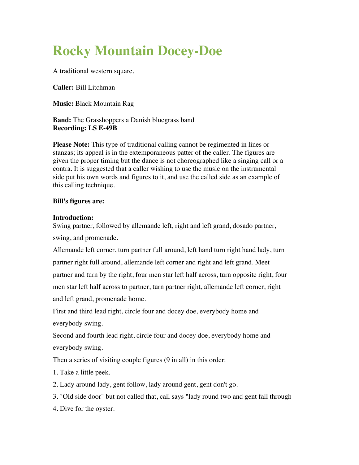## **Rocky Mountain Docey-Doe**

A traditional western square.

**Caller:** Bill Litchman

**Music:** Black Mountain Rag

**Band:** The Grasshoppers a Danish bluegrass band **Recording: LS E-49B**

**Please Note:** This type of traditional calling cannot be regimented in lines or stanzas; its appeal is in the extemporaneous patter of the caller. The figures are given the proper timing but the dance is not choreographed like a singing call or a contra. It is suggested that a caller wishing to use the music on the instrumental side put his own words and figures to it, and use the called side as an example of this calling technique.

## **Bill's figures are:**

## **Introduction:**

Swing partner, followed by allemande left, right and left grand, dosado partner, swing, and promenade.

Allemande left corner, turn partner full around, left hand turn right hand lady, turn partner right full around, allemande left corner and right and left grand. Meet partner and turn by the right, four men star left half across, turn opposite right, four men star left half across to partner, turn partner right, allemande left corner, right and left grand, promenade home.

First and third lead right, circle four and docey doe, everybody home and everybody swing.

Second and fourth lead right, circle four and docey doe, everybody home and everybody swing.

Then a series of visiting couple figures (9 in all) in this order:

1. Take a little peek.

2. Lady around lady, gent follow, lady around gent, gent don't go.

3. "Old side door" but not called that, call says "lady round two and gent fall through."

4. Dive for the oyster.